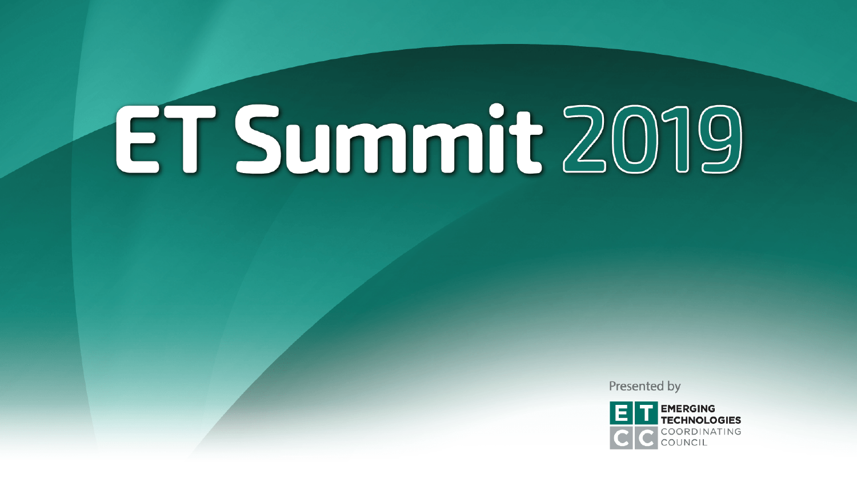Presented by

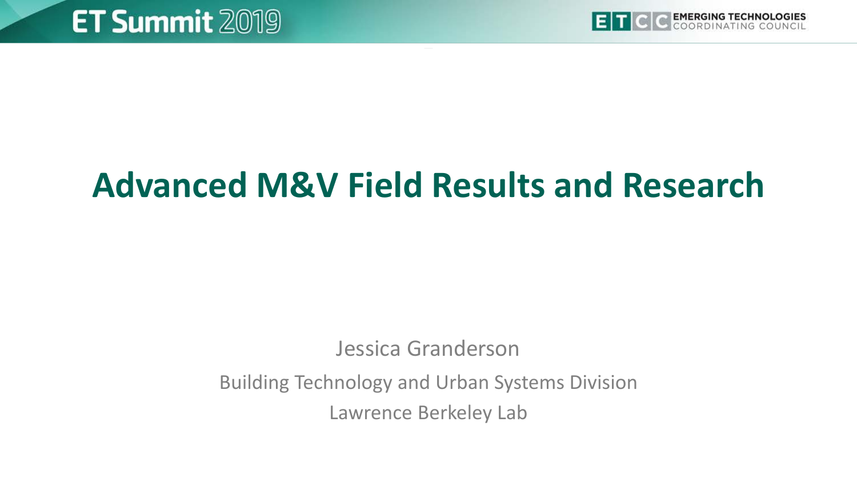

### **Advanced M&V Field Results and Research**

Jessica Granderson

Building Technology and Urban Systems Division Lawrence Berkeley Lab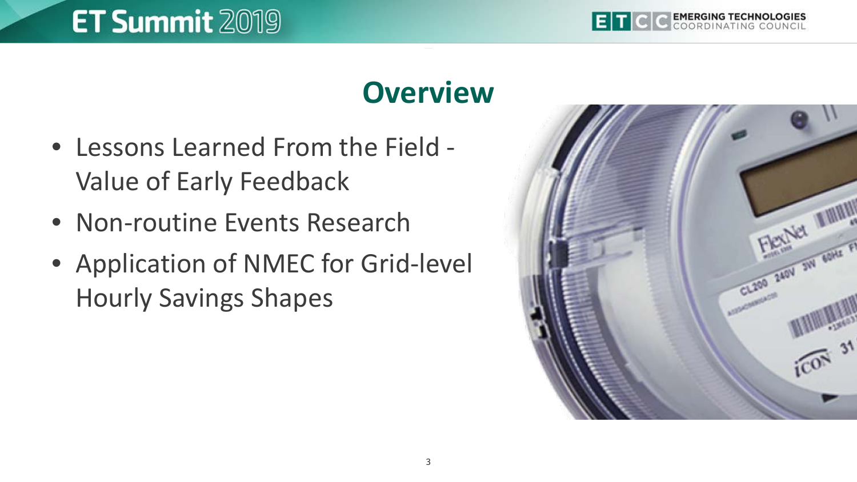#### **EMERGING TECHNOLOGIES**

### **ET Summit 2019**

#### **Overview**

- Lessons Learned From the Field Value of Early Feedback
- Non-routine Events Research
- Application of NMEC for Grid-level Hourly Savings Shapes

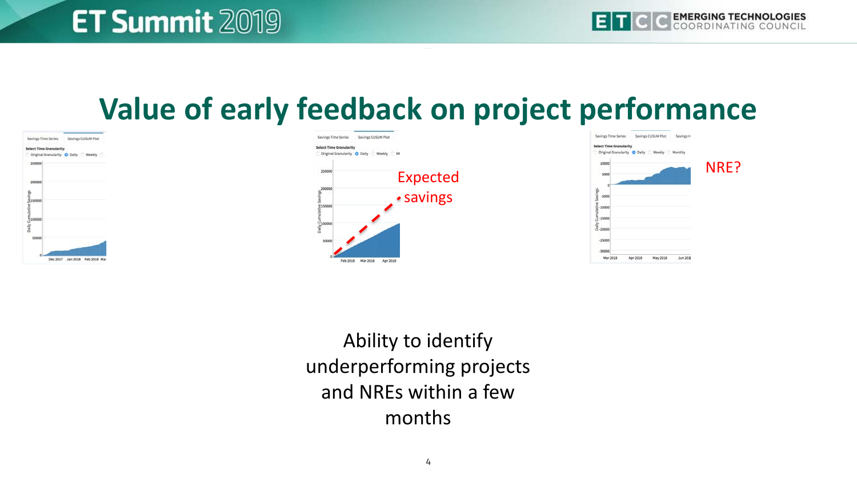#### **Value of early feedback on project performance**







Ability to identify underperforming projects and NREs within a few months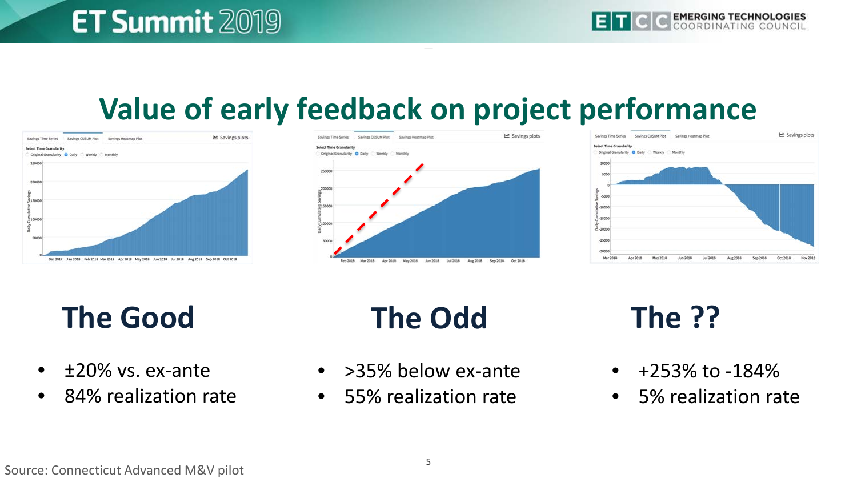#### **Value of early feedback on project performance**







**The Good The Odd The ??**

- $\bullet$   $\pm$ 20% vs. ex-ante
- 84% realization rate

- > 35% below ex-ante
- 55% realization rate

- $\bullet$  +253% to -184%
- 5% realization rate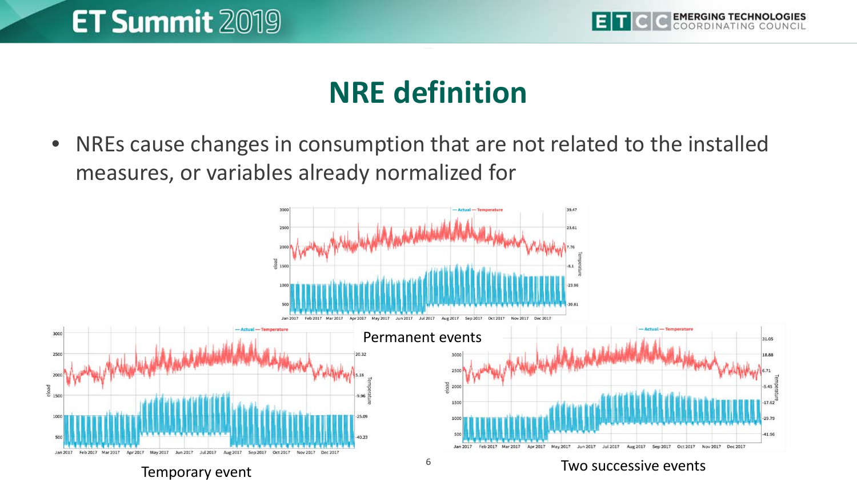

#### **NRE definition**

• NREs cause changes in consumption that are not related to the installed measures, or variables already normalized for

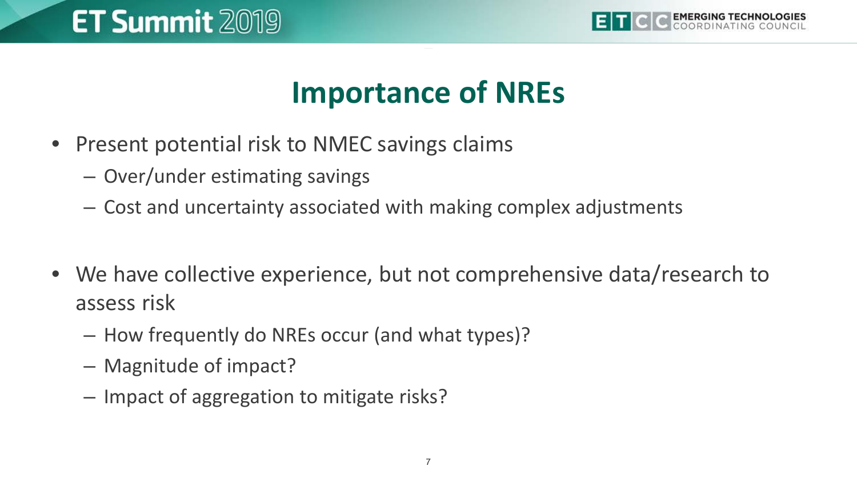

#### **Importance of NREs**

- Present potential risk to NMEC savings claims
	- Over/under estimating savings
	- Cost and uncertainty associated with making complex adjustments
- We have collective experience, but not comprehensive data/research to assess risk
	- How frequently do NREs occur (and what types)?
	- Magnitude of impact?
	- Impact of aggregation to mitigate risks?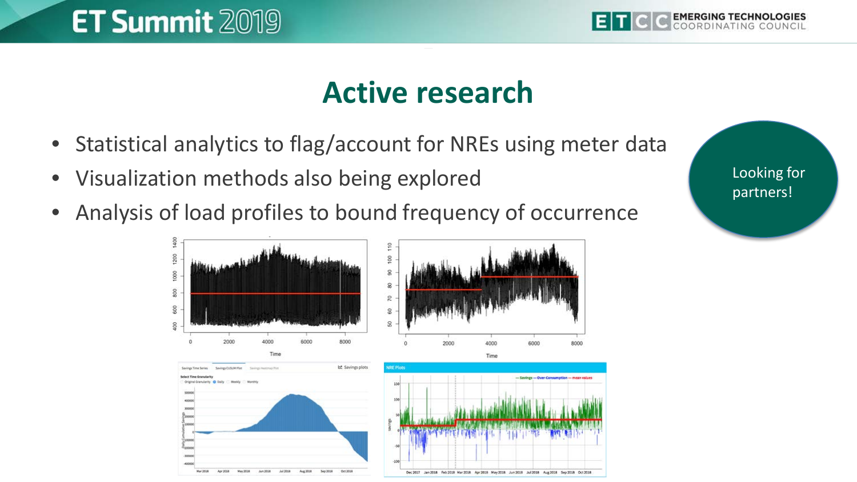

Looking for partners!

#### **Active research**

- Statistical analytics to flag/account for NREs using meter data
- Visualization methods also being explored
- Analysis of load profiles to bound frequency of occurrence

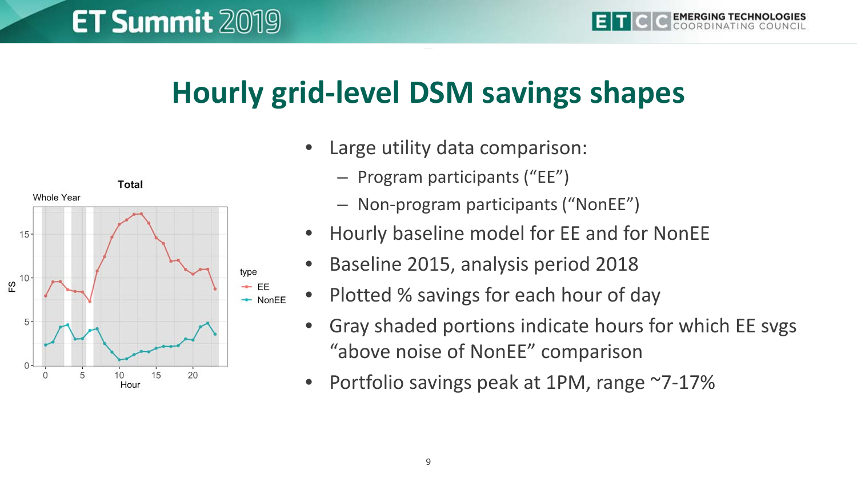#### **Hourly grid-level DSM savings shapes**



- Program participants ("EE")
- Non-program participants ("NonEE")
- Hourly baseline model for EE and for NonEE
- Baseline 2015, analysis period 2018
- Plotted % savings for each hour of day
	- Gray shaded portions indicate hours for which EE svgs "above noise of NonEE" comparison
	- Portfolio savings peak at 1PM, range ~7-17%

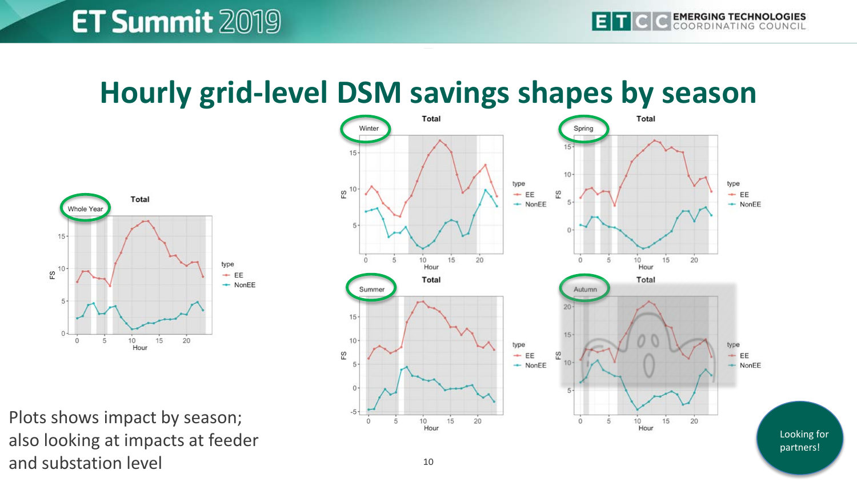#### **Hourly grid-level DSM savings shapes by season**



Plots shows impact by season; also looking at impacts at feeder and substation level



Looking for partners!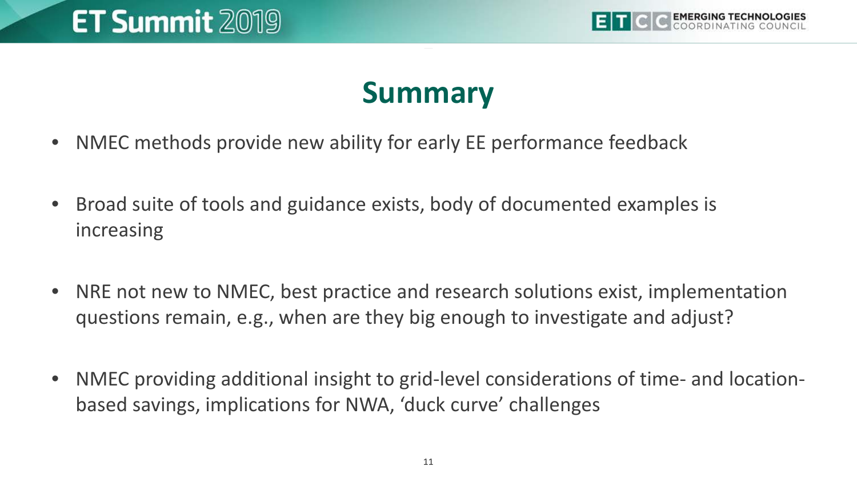

#### **Summary**

- NMEC methods provide new ability for early EE performance feedback
- Broad suite of tools and guidance exists, body of documented examples is increasing
- NRE not new to NMEC, best practice and research solutions exist, implementation questions remain, e.g., when are they big enough to investigate and adjust?
- NMEC providing additional insight to grid-level considerations of time- and locationbased savings, implications for NWA, 'duck curve' challenges